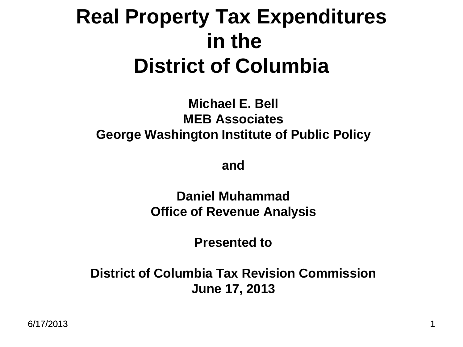#### **Real Property Tax Expenditures in the District of Columbia**

#### **Michael E. Bell MEB Associates George Washington Institute of Public Policy**

**and**

**Daniel Muhammad Office of Revenue Analysis**

**Presented to**

**District of Columbia Tax Revision Commission June 17, 2013**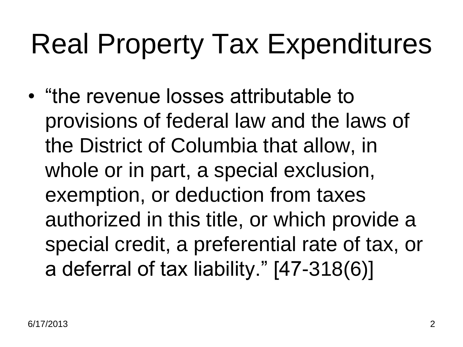## Real Property Tax Expenditures

• "the revenue losses attributable to provisions of federal law and the laws of the District of Columbia that allow, in whole or in part, a special exclusion, exemption, or deduction from taxes authorized in this title, or which provide a special credit, a preferential rate of tax, or a deferral of tax liability." [47-318(6)]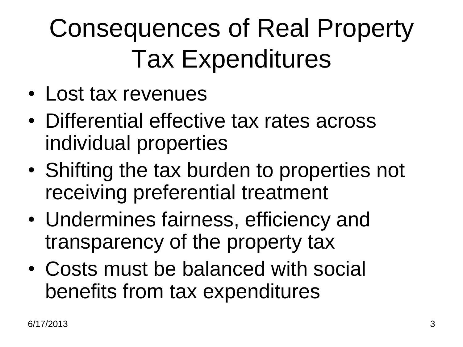#### Consequences of Real Property Tax Expenditures

- Lost tax revenues
- Differential effective tax rates across individual properties
- Shifting the tax burden to properties not receiving preferential treatment
- Undermines fairness, efficiency and transparency of the property tax
- Costs must be balanced with social benefits from tax expenditures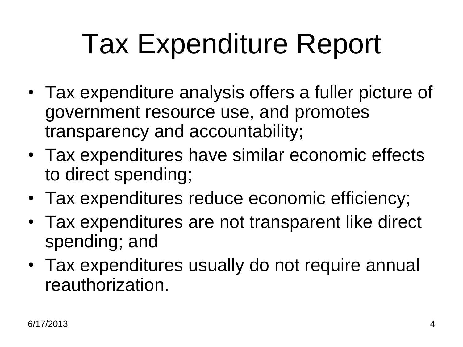# Tax Expenditure Report

- Tax expenditure analysis offers a fuller picture of government resource use, and promotes transparency and accountability;
- Tax expenditures have similar economic effects to direct spending;
- Tax expenditures reduce economic efficiency;
- Tax expenditures are not transparent like direct spending; and
- Tax expenditures usually do not require annual reauthorization.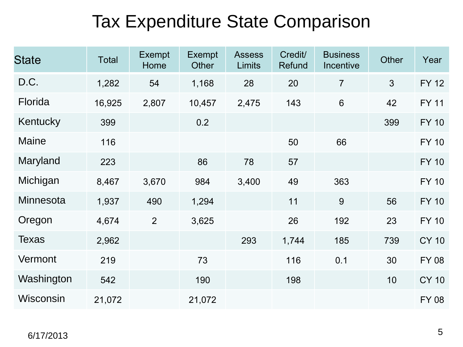#### Tax Expenditure State Comparison

| <b>State</b>     | <b>Total</b> | <b>Exempt</b><br>Home | <b>Exempt</b><br>Other | <b>Assess</b><br>Limits | Credit/<br>Refund | <b>Business</b><br>Incentive | Other          | Year         |
|------------------|--------------|-----------------------|------------------------|-------------------------|-------------------|------------------------------|----------------|--------------|
| D.C.             | 1,282        | 54                    | 1,168                  | 28                      | 20                | $\overline{7}$               | $\mathfrak{S}$ | <b>FY 12</b> |
| Florida          | 16,925       | 2,807                 | 10,457                 | 2,475                   | 143               | $6\phantom{1}6$              | 42             | <b>FY 11</b> |
| Kentucky         | 399          |                       | 0.2                    |                         |                   |                              | 399            | <b>FY 10</b> |
| <b>Maine</b>     | 116          |                       |                        |                         | 50                | 66                           |                | <b>FY 10</b> |
| Maryland         | 223          |                       | 86                     | 78                      | 57                |                              |                | <b>FY 10</b> |
| Michigan         | 8,467        | 3,670                 | 984                    | 3,400                   | 49                | 363                          |                | <b>FY 10</b> |
| <b>Minnesota</b> | 1,937        | 490                   | 1,294                  |                         | 11                | 9                            | 56             | <b>FY 10</b> |
| Oregon           | 4,674        | $\overline{2}$        | 3,625                  |                         | 26                | 192                          | 23             | <b>FY 10</b> |
| <b>Texas</b>     | 2,962        |                       |                        | 293                     | 1,744             | 185                          | 739            | <b>CY 10</b> |
| Vermont          | 219          |                       | 73                     |                         | 116               | 0.1                          | 30             | <b>FY 08</b> |
| Washington       | 542          |                       | 190                    |                         | 198               |                              | 10             | <b>CY 10</b> |
| Wisconsin        | 21,072       |                       | 21,072                 |                         |                   |                              |                | <b>FY 08</b> |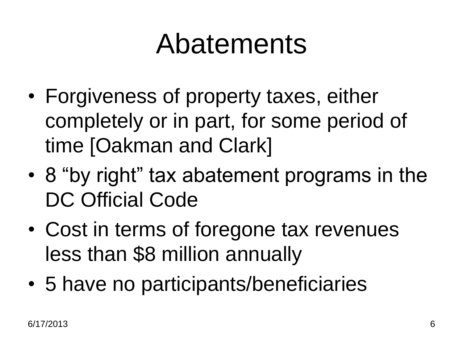#### Abatements

- Forgiveness of property taxes, either completely or in part, for some period of time [Oakman and Clark]
- 8 "by right" tax abatement programs in the DC Official Code
- Cost in terms of foregone tax revenues less than \$8 million annually
- 5 have no participants/beneficiaries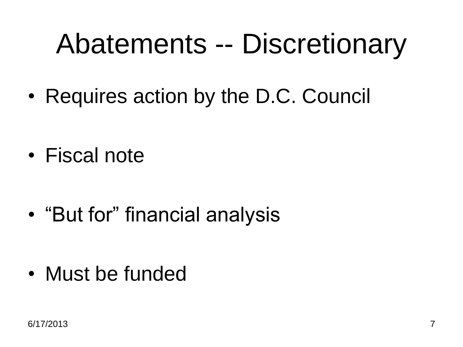### Abatements -- Discretionary

• Requires action by the D.C. Council

- Fiscal note
- "But for" financial analysis

• Must be funded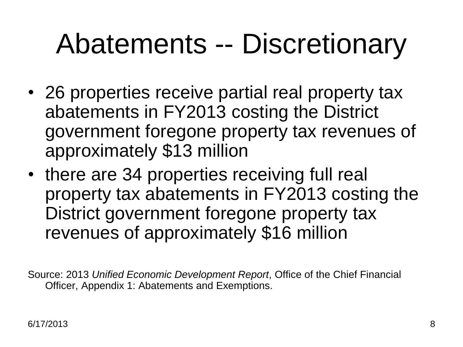## Abatements -- Discretionary

- 26 properties receive partial real property tax abatements in FY2013 costing the District government foregone property tax revenues of approximately \$13 million
- there are 34 properties receiving full real property tax abatements in FY2013 costing the District government foregone property tax revenues of approximately \$16 million

Source: 2013 *Unified Economic Development Report*, Office of the Chief Financial Officer, Appendix 1: Abatements and Exemptions.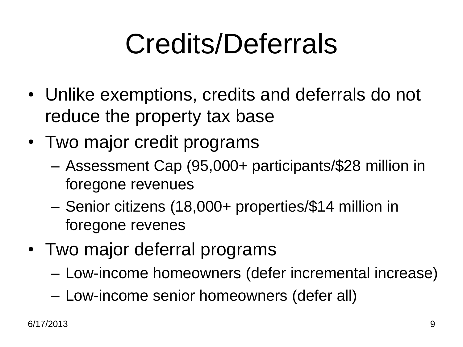# Credits/Deferrals

- Unlike exemptions, credits and deferrals do not reduce the property tax base
- Two major credit programs
	- Assessment Cap (95,000+ participants/\$28 million in foregone revenues
	- Senior citizens (18,000+ properties/\$14 million in foregone revenes
- Two major deferral programs
	- Low-income homeowners (defer incremental increase)
	- Low-income senior homeowners (defer all)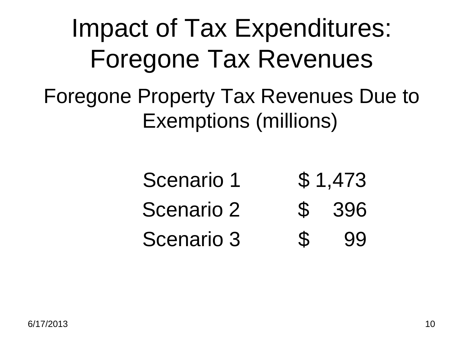#### Impact of Tax Expenditures: Foregone Tax Revenues Foregone Property Tax Revenues Due to Exemptions (millions)

- Scenario 1 \$ 1,473
- Scenario 2  $\quad$  \$ 396
- Scenario 3 \$ 99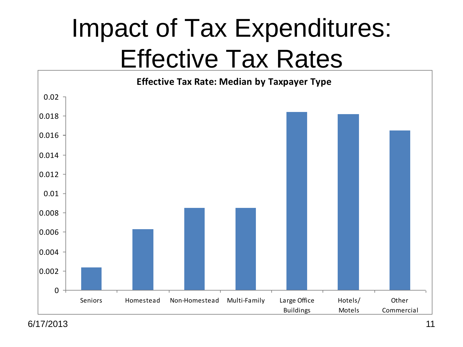#### Impact of Tax Expenditures: Effective Tax Rates



6/17/2013 11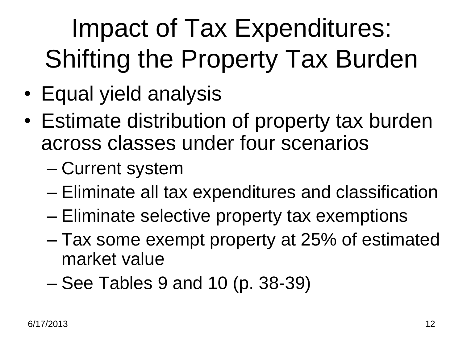### Impact of Tax Expenditures: Shifting the Property Tax Burden

- Equal yield analysis
- Estimate distribution of property tax burden across classes under four scenarios
	- Current system
	- Eliminate all tax expenditures and classification
	- Eliminate selective property tax exemptions
	- Tax some exempt property at 25% of estimated market value
	- See Tables 9 and 10 (p. 38-39)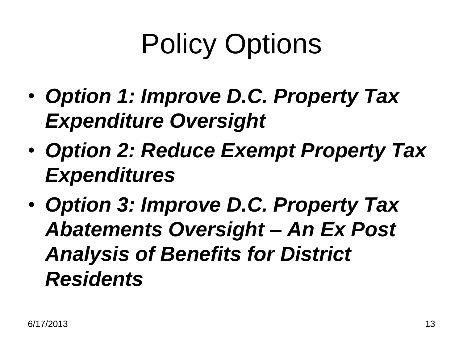# Policy Options

- *Option 1: Improve D.C. Property Tax Expenditure Oversight*
- *Option 2: Reduce Exempt Property Tax Expenditures*
- *Option 3: Improve D.C. Property Tax Abatements Oversight – An Ex Post Analysis of Benefits for District Residents*